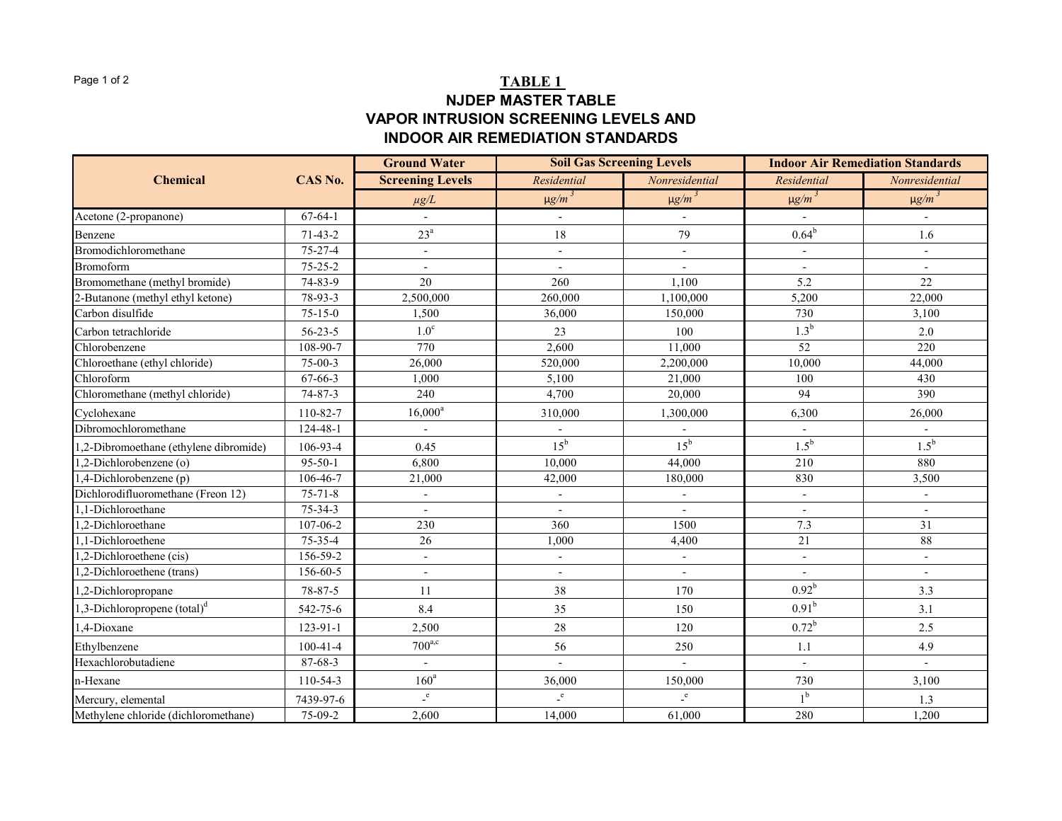### Page 1 of 2 **TABLE 1 NJDEP MASTER TABLE VAPOR INTRUSION SCREENING LEVELS AND INDOOR AIR REMEDIATION STANDARDS**

|                                          |                | <b>Ground Water</b>      | <b>Soil Gas Screening Levels</b> |                | <b>Indoor Air Remediation Standards</b> |                |
|------------------------------------------|----------------|--------------------------|----------------------------------|----------------|-----------------------------------------|----------------|
| <b>Chemical</b>                          | CAS No.        | <b>Screening Levels</b>  | Residential                      | Nonresidential | Residential                             | Nonresidential |
|                                          |                | $\mu g/L$                | $\mu g/m^3$                      | $\mu g/m^3$    | $\mu g/m^3$                             | $\mu g/m^3$    |
| Acetone (2-propanone)                    | $67-64-1$      |                          |                                  |                |                                         |                |
| Benzene                                  | $71 - 43 - 2$  | $23^{\mathrm{a}}$        | 18                               | 79             | $0.64^{b}$                              | 1.6            |
| Bromodichloromethane                     | $75 - 27 - 4$  | $\overline{\phantom{a}}$ | $\sim$                           |                | $\overline{\phantom{a}}$                | $\blacksquare$ |
| <b>Bromoform</b>                         | $75 - 25 - 2$  | $\blacksquare$           | $\overline{a}$                   |                |                                         | $\blacksquare$ |
| Bromomethane (methyl bromide)            | $74 - 83 - 9$  | 20                       | 260                              | 1.100          | 5.2                                     | 22             |
| 2-Butanone (methyl ethyl ketone)         | 78-93-3        | 2.500,000                | 260,000                          | 1,100,000      | 5,200                                   | 22,000         |
| Carbon disulfide                         | $75 - 15 - 0$  | 1.500                    | 36,000                           | 150,000        | 730                                     | 3,100          |
| Carbon tetrachloride                     | $56 - 23 - 5$  | 1.0 <sup>c</sup>         | 23                               | 100            | 1.3 <sup>b</sup>                        | 2.0            |
| Chlorobenzene                            | 108-90-7       | 770                      | 2,600                            | 11,000         | 52                                      | 220            |
| Chloroethane (ethyl chloride)            | $75-00-3$      | 26,000                   | 520,000                          | 2,200,000      | 10,000                                  | 44,000         |
| Chloroform                               | 67-66-3        | 1,000                    | 5,100                            | 21,000         | 100                                     | 430            |
| Chloromethane (methyl chloride)          | 74-87-3        | 240                      | 4.700                            | 20,000         | 94                                      | 390            |
| Cyclohexane                              | 110-82-7       | $16,000^a$               | 310,000                          | 1,300,000      | 6,300                                   | 26,000         |
| Dibromochloromethane                     | 124-48-1       | $\mathbf{r}$             |                                  |                |                                         |                |
| ,2-Dibromoethane (ethylene dibromide)    | 106-93-4       | 0.45                     | $15^{\rm b}$                     | $15^{\rm b}$   | $1.5^{\rm b}$                           | $1.5^{\rm b}$  |
| ,2-Dichlorobenzene (o)                   | $95 - 50 - 1$  | 6,800                    | 10,000                           | 44,000         | 210                                     | 880            |
| (p) 4-Dichlorobenzene                    | 106-46-7       | 21,000                   | 42,000                           | 180,000        | 830                                     | 3,500          |
| Dichlorodifluoromethane (Freon 12)       | $75 - 71 - 8$  | $\overline{\phantom{a}}$ |                                  |                | $\blacksquare$                          | $\blacksquare$ |
| 1,1-Dichloroethane                       | $75 - 34 - 3$  | $\blacksquare$           | $\overline{a}$                   | $\sim$         | $\overline{a}$                          | $\sim$         |
| 1,2-Dichloroethane                       | 107-06-2       | 230                      | 360                              | 1500           | 7.3                                     | 31             |
| 1,1-Dichloroethene                       | $75 - 35 - 4$  | 26                       | 1,000                            | 4,400          | 21                                      | 88             |
| ,2-Dichloroethene (cis)                  | 156-59-2       | $\overline{\phantom{a}}$ |                                  |                |                                         | $\blacksquare$ |
| ,2-Dichloroethene (trans)                | 156-60-5       |                          |                                  |                |                                         |                |
| .2-Dichloropropane                       | $78 - 87 - 5$  | 11                       | 38                               | 170            | $0.92^{b}$                              | 3.3            |
| 1,3-Dichloropropene (total) <sup>d</sup> | 542-75-6       | 8.4                      | 35                               | 150            | 0.91 <sup>b</sup>                       | 3.1            |
| ,4-Dioxane                               | 123-91-1       | 2,500                    | 28                               | 120            | $0.72^b$                                | 2.5            |
| Ethylbenzene                             | $100 - 41 - 4$ | $700^{a,c}$              | 56                               | 250            | 1.1                                     | 4.9            |
| Hexachlorobutadiene                      | $87 - 68 - 3$  | $\blacksquare$           |                                  | $\mathbf{r}$   | $\mathbf{r}$                            | $\mathbf{r}$   |
| n-Hexane                                 | $110 - 54 - 3$ | 160 <sup>a</sup>         | 36,000                           | 150,000        | 730                                     | 3,100          |
| Mercury, elemental                       | 7439-97-6      | $\mathbf{e}$             | $\mathbf{e}$                     | $\mathbf{e}$   | 1 <sup>b</sup>                          | 1.3            |
| Methylene chloride (dichloromethane)     | 75-09-2        | 2,600                    | 14,000                           | 61,000         | 280                                     | 1,200          |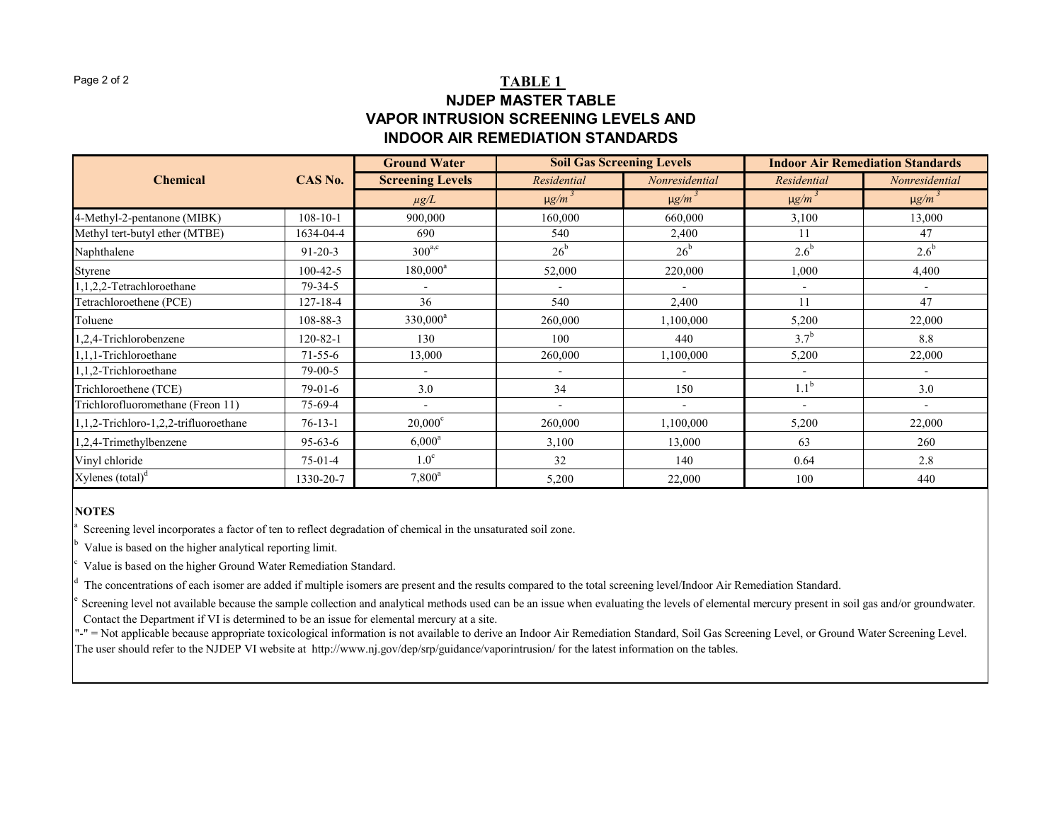### Page 2 of 2 **TABLE 1 NJDEP MASTER TABLE VAPOR INTRUSION SCREENING LEVELS AND INDOOR AIR REMEDIATION STANDARDS**

|                                       |                | <b>Ground Water</b>      | <b>Soil Gas Screening Levels</b> |                | <b>Indoor Air Remediation Standards</b> |                |
|---------------------------------------|----------------|--------------------------|----------------------------------|----------------|-----------------------------------------|----------------|
| <b>Chemical</b>                       | CAS No.        | <b>Screening Levels</b>  | Residential                      | Nonresidential | Residential                             | Nonresidential |
|                                       |                | $\mu g/L$                | $\mu g/m^3$                      | $\mu g/m^3$    | $\mu g/m^3$                             | $\mu g/m^3$    |
| 4-Methyl-2-pentanone (MIBK)           | $108 - 10 - 1$ | 900,000                  | 160,000                          | 660,000        | 3,100                                   | 13,000         |
| Methyl tert-butyl ether (MTBE)        | 1634-04-4      | 690                      | 540                              | 2,400          | 11                                      | 47             |
| Naphthalene                           | $91 - 20 - 3$  | $300^{a,c}$              | $26^{\rm b}$                     | $26^{\rm b}$   | $2.6^{\rm b}$                           | $2.6^{\rm b}$  |
| Styrene                               | 100-42-5       | $180,000^a$              | 52,000                           | 220,000        | 1,000                                   | 4,400          |
| 1,1,2,2-Tetrachloroethane             | $79 - 34 - 5$  |                          |                                  |                |                                         |                |
| Fetrachloroethene (PCE)               | 127-18-4       | 36                       | 540                              | 2,400          | 11                                      | 47             |
| <b><i><u>Foluene</u></i></b>          | 108-88-3       | $330,000^a$              | 260,000                          | 1,100,000      | 5,200                                   | 22,000         |
| 1,2,4-Trichlorobenzene                | 120-82-1       | 130                      | 100                              | 440            | $3.7^{\rm b}$                           | 8.8            |
| 1,1,1-Trichloroethane                 | $71 - 55 - 6$  | 13,000                   | 260,000                          | 1,100,000      | 5,200                                   | 22,000         |
| 1,1,2-Trichloroethane                 | $79-00-5$      | $\overline{\phantom{a}}$ |                                  |                |                                         |                |
| Trichloroethene (TCE)                 | $79-01-6$      | 3.0                      | 34                               | 150            | 1.1 <sup>b</sup>                        | 3.0            |
| Trichlorofluoromethane (Freon 11)     | 75-69-4        |                          |                                  |                |                                         |                |
| 1,1,2-Trichloro-1,2,2-trifluoroethane | $76-13-1$      | $20,000^{\circ}$         | 260,000                          | 1,100,000      | 5,200                                   | 22,000         |
| 1,2,4-Trimethylbenzene                | $95-63-6$      | $6,000^a$                | 3,100                            | 13,000         | 63                                      | 260            |
| Vinyl chloride                        | $75-01-4$      | 1.0 <sup>c</sup>         | 32                               | 140            | 0.64                                    | 2.8            |
| Xylenes (total) <sup>d</sup>          | 1330-20-7      | $7,800^a$                | 5,200                            | 22,000         | 100                                     | 440            |

#### **NOTES**

Screening level incorporates a factor of ten to reflect degradation of chemical in the unsaturated soil zone.

b Value is based on the higher analytical reporting limit.

Value is based on the higher Ground Water Remediation Standard.

The concentrations of each isomer are added if multiple isomers are present and the results compared to the total screening level/Indoor Air Remediation Standard.

Screening level not available because the sample collection and analytical methods used can be an issue when evaluating the levels of elemental mercury present in soil gas and/or groundwater. Contact the Department if VI is determined to be an issue for elemental mercury at a site.

The user should refer to the NJDEP VI website at http://www.nj.gov/dep/srp/guidance/vaporintrusion/ for the latest information on the tables. "-" = Not applicable because appropriate toxicological information is not available to derive an Indoor Air Remediation Standard, Soil Gas Screening Level, or Ground Water Screening Level.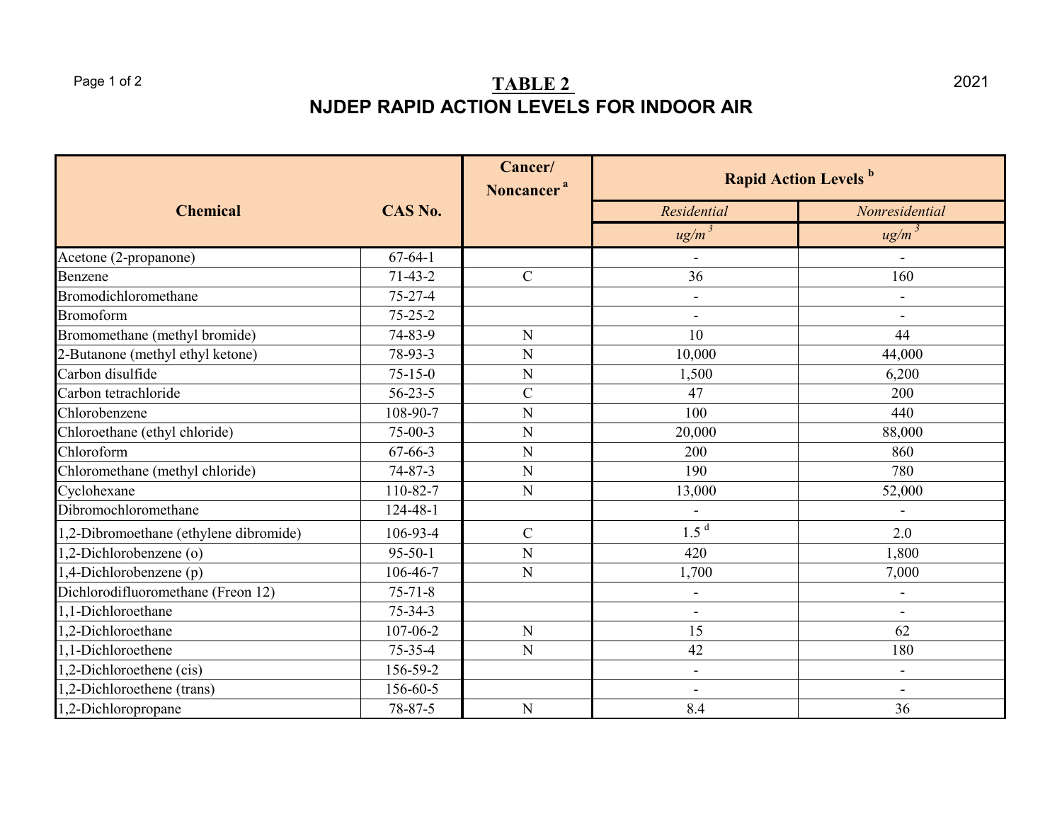### Page 1 of 2 **TABLE 2 NJDEP RAPID ACTION LEVELS FOR INDOOR AIR**

|                                        |               | Cancer/<br>Noncancer <sup>a</sup> | <b>Rapid Action Levels b</b> |                          |  |
|----------------------------------------|---------------|-----------------------------------|------------------------------|--------------------------|--|
| <b>Chemical</b>                        | CAS No.       |                                   | Residential                  | Nonresidential           |  |
|                                        |               |                                   | $ug/m^3$                     | $ug/m^3$                 |  |
| Acetone (2-propanone)                  | $67-64-1$     |                                   | ä,                           |                          |  |
| Benzene                                | $71-43-2$     | $\mathbf C$                       | 36                           | 160                      |  |
| Bromodichloromethane                   | $75 - 27 - 4$ |                                   | $\overline{\phantom{0}}$     |                          |  |
| Bromoform                              | $75 - 25 - 2$ |                                   |                              |                          |  |
| Bromomethane (methyl bromide)          | 74-83-9       | $\mathbf N$                       | 10                           | 44                       |  |
| 2-Butanone (methyl ethyl ketone)       | 78-93-3       | N                                 | 10,000                       | 44,000                   |  |
| Carbon disulfide                       | $75 - 15 - 0$ | N                                 | 1,500                        | 6,200                    |  |
| Carbon tetrachloride                   | $56 - 23 - 5$ | $\mathbf C$                       | 47                           | 200                      |  |
| Chlorobenzene                          | 108-90-7      | $\mathbf N$                       | 100                          | 440                      |  |
| Chloroethane (ethyl chloride)          | $75-00-3$     | N                                 | 20,000                       | 88,000                   |  |
| Chloroform                             | $67 - 66 - 3$ | N                                 | 200                          | 860                      |  |
| Chloromethane (methyl chloride)        | $74 - 87 - 3$ | N                                 | 190                          | 780                      |  |
| Cyclohexane                            | 110-82-7      | $\mathbf N$                       | 13,000                       | 52,000                   |  |
| Dibromochloromethane                   | 124-48-1      |                                   |                              |                          |  |
| 1,2-Dibromoethane (ethylene dibromide) | 106-93-4      | $\mathbf C$                       | 1.5 <sup>d</sup>             | 2.0                      |  |
| 1,2-Dichlorobenzene (o)                | $95 - 50 - 1$ | N                                 | 420                          | 1,800                    |  |
| $1,4$ -Dichlorobenzene (p)             | 106-46-7      | $\mathbf N$                       | 1,700                        | 7,000                    |  |
| Dichlorodifluoromethane (Freon 12)     | $75 - 71 - 8$ |                                   | ۰                            | $\overline{\phantom{0}}$ |  |
| 1,1-Dichloroethane                     | $75 - 34 - 3$ |                                   | $\overline{\phantom{a}}$     | $\overline{\phantom{a}}$ |  |
| 1,2-Dichloroethane                     | 107-06-2      | $\mathbf N$                       | 15                           | 62                       |  |
| 1,1-Dichloroethene                     | $75 - 35 - 4$ | N                                 | 42                           | 180                      |  |
| 1,2-Dichloroethene (cis)               | 156-59-2      |                                   | $\overline{\phantom{a}}$     | $\overline{\phantom{a}}$ |  |
| 1,2-Dichloroethene (trans)             | 156-60-5      |                                   |                              |                          |  |
| 1,2-Dichloropropane                    | 78-87-5       | $\mathbf N$                       | 8.4                          | 36                       |  |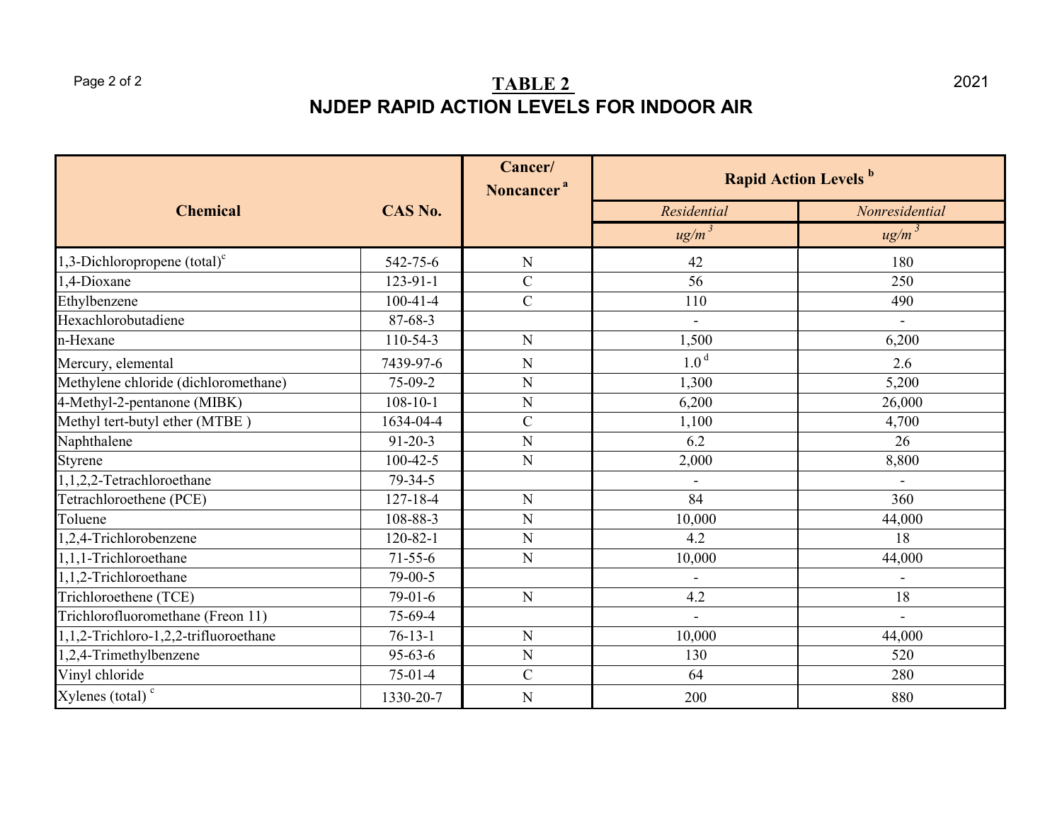### Page 2 of 2 **TABLE 2 NJDEP RAPID ACTION LEVELS FOR INDOOR AIR**

|                                       |                | Cancer/<br>Noncancer <sup>a</sup> | <b>Rapid Action Levels b</b> |                |  |
|---------------------------------------|----------------|-----------------------------------|------------------------------|----------------|--|
| <b>Chemical</b>                       | CAS No.        |                                   | Residential                  | Nonresidential |  |
|                                       |                |                                   | $ug/m^3$                     | ug/m           |  |
| 1,3-Dichloropropene $(total)^c$       | 542-75-6       | ${\bf N}$                         | 42                           | 180            |  |
| 1,4-Dioxane                           | 123-91-1       | $\mathcal{C}$                     | 56                           | 250            |  |
| Ethylbenzene                          | $100 - 41 - 4$ | $\mathbf C$                       | 110                          | 490            |  |
| Hexachlorobutadiene                   | 87-68-3        |                                   | $\blacksquare$               |                |  |
| n-Hexane                              | 110-54-3       | ${\bf N}$                         | 1,500                        | 6,200          |  |
| Mercury, elemental                    | 7439-97-6      | ${\bf N}$                         | 1.0 <sup>d</sup>             | 2.6            |  |
| Methylene chloride (dichloromethane)  | 75-09-2        | ${\bf N}$                         | 1,300                        | 5,200          |  |
| 4-Methyl-2-pentanone (MIBK)           | $108 - 10 - 1$ | ${\bf N}$                         | 6,200                        | 26,000         |  |
| Methyl tert-butyl ether (MTBE)        | 1634-04-4      | ${\bf C}$                         | 1,100                        | 4,700          |  |
| Naphthalene                           | $91 - 20 - 3$  | ${\bf N}$                         | 6.2                          | 26             |  |
| Styrene                               | $100 - 42 - 5$ | ${\bf N}$                         | 2,000                        | 8,800          |  |
| $1,1,2,2$ -Tetrachloroethane          | 79-34-5        |                                   |                              |                |  |
| Tetrachloroethene (PCE)               | $127 - 18 - 4$ | ${\bf N}$                         | 84                           | 360            |  |
| Toluene                               | 108-88-3       | ${\bf N}$                         | 10,000                       | 44,000         |  |
| 1,2,4-Trichlorobenzene                | $120 - 82 - 1$ | ${\bf N}$                         | 4.2                          | 18             |  |
| 1,1,1-Trichloroethane                 | $71 - 55 - 6$  | ${\bf N}$                         | 10,000                       | 44,000         |  |
| 1,1,2-Trichloroethane                 | 79-00-5        |                                   | $\blacksquare$               |                |  |
| Trichloroethene (TCE)                 | $79-01-6$      | ${\bf N}$                         | 4.2                          | 18             |  |
| Trichlorofluoromethane (Freon 11)     | 75-69-4        |                                   | $\blacksquare$               | $\overline{a}$ |  |
| 1,1,2-Trichloro-1,2,2-trifluoroethane | $76 - 13 - 1$  | ${\bf N}$                         | 10,000                       | 44,000         |  |
| 1,2,4-Trimethylbenzene                | $95 - 63 - 6$  | ${\bf N}$                         | 130                          | 520            |  |
| Vinyl chloride                        | $75-01-4$      | $\mathbf C$                       | 64                           | 280            |  |
| Xylenes (total) <sup>c</sup>          | 1330-20-7      | ${\bf N}$                         | 200                          | 880            |  |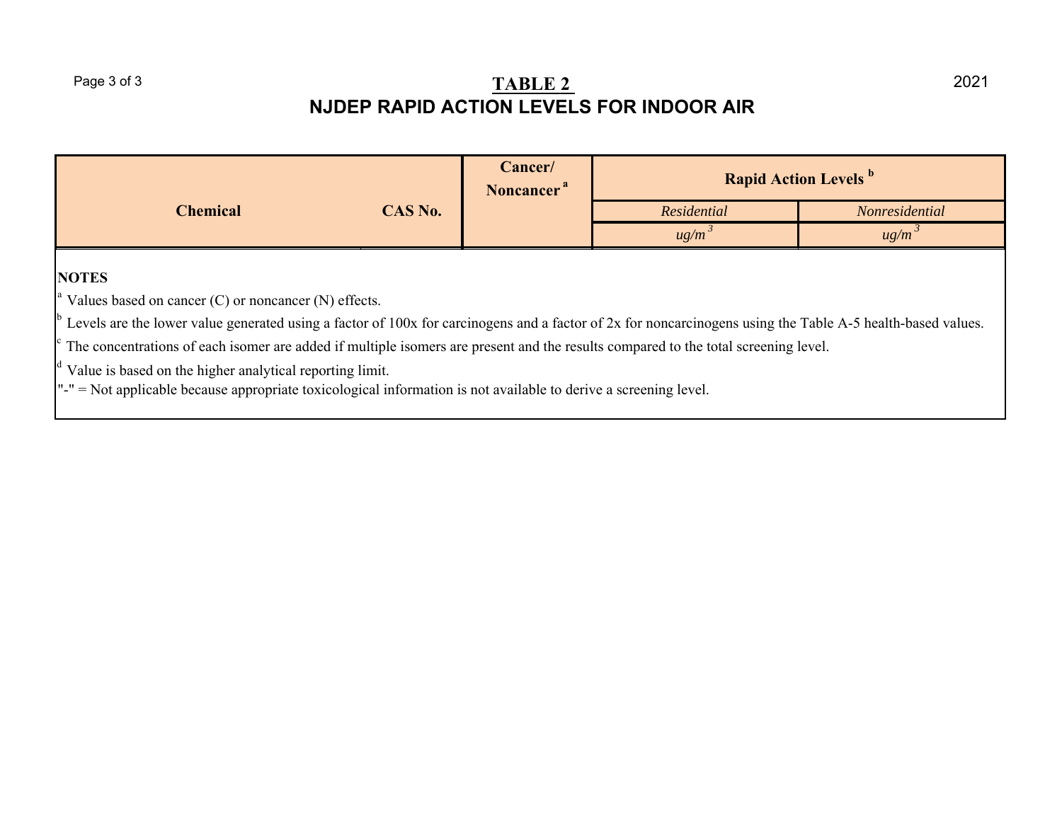# Page 3 of 3<br>**NJDEP RAPID ACTION LEVELS FOR INDOOR AIR**

|                                                                                                                                                                                                                                                                                                                                                                                                                                                                                                                                                                                                    |         | Cancer/<br>Noncancer <sup>a</sup> | <b>Rapid Action Levels b</b> |                       |  |
|----------------------------------------------------------------------------------------------------------------------------------------------------------------------------------------------------------------------------------------------------------------------------------------------------------------------------------------------------------------------------------------------------------------------------------------------------------------------------------------------------------------------------------------------------------------------------------------------------|---------|-----------------------------------|------------------------------|-----------------------|--|
| <b>Chemical</b>                                                                                                                                                                                                                                                                                                                                                                                                                                                                                                                                                                                    | CAS No. |                                   | Residential                  | <i>Nonresidential</i> |  |
|                                                                                                                                                                                                                                                                                                                                                                                                                                                                                                                                                                                                    |         |                                   | $ug/m^3$                     | ug/m                  |  |
| <b>NOTES</b><br>$^{\circ}$ Values based on cancer (C) or noncancer (N) effects.<br>$\degree$ Levels are the lower value generated using a factor of 100x for carcinogens and a factor of 2x for noncarcinogens using the Table A-5 health-based values.<br>The concentrations of each isomer are added if multiple isomers are present and the results compared to the total screening level.<br>$\vert$ <sup>d</sup> Value is based on the higher analytical reporting limit.<br>$" =$ Not applicable because appropriate toxicological information is not available to derive a screening level. |         |                                   |                              |                       |  |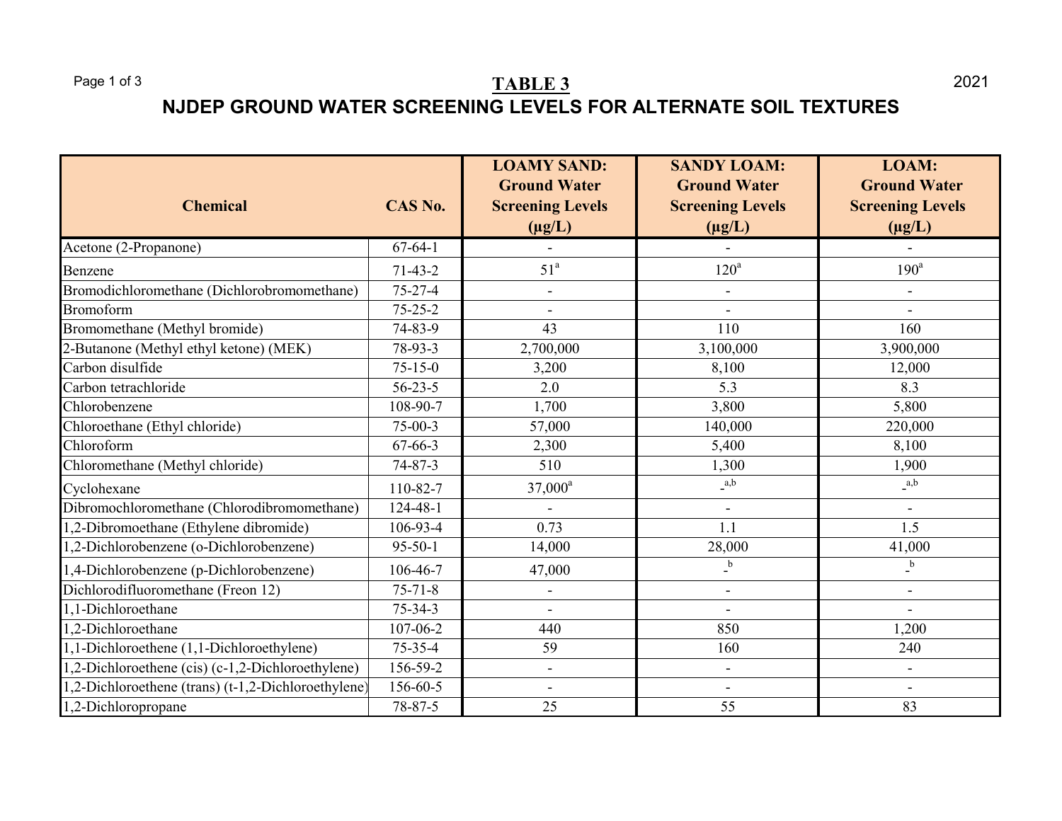# Page 1 of 3 **TABLE 3 NJDEP GROUND WATER SCREENING LEVELS FOR ALTERNATE SOIL TEXTURES**

| <b>Chemical</b>                                    | CAS No.       | <b>LOAMY SAND:</b><br><b>Ground Water</b><br><b>Screening Levels</b><br>$(\mu g/L)$ | <b>SANDY LOAM:</b><br><b>Ground Water</b><br><b>Screening Levels</b><br>$(\mu g/L)$ | LOAM:<br><b>Ground Water</b><br><b>Screening Levels</b><br>$(\mu g/L)$ |
|----------------------------------------------------|---------------|-------------------------------------------------------------------------------------|-------------------------------------------------------------------------------------|------------------------------------------------------------------------|
| Acetone (2-Propanone)                              | $67 - 64 - 1$ | $\blacksquare$                                                                      |                                                                                     | $\blacksquare$                                                         |
| Benzene                                            | $71-43-2$     | 51 <sup>a</sup>                                                                     | $120^a$                                                                             | $190^a$                                                                |
| Bromodichloromethane (Dichlorobromomethane)        | $75 - 27 - 4$ | $\overline{\phantom{a}}$                                                            | $\overline{a}$                                                                      |                                                                        |
| Bromoform                                          | $75 - 25 - 2$ | L,                                                                                  | $\overline{a}$                                                                      |                                                                        |
| Bromomethane (Methyl bromide)                      | 74-83-9       | 43                                                                                  | 110                                                                                 | 160                                                                    |
| 2-Butanone (Methyl ethyl ketone) (MEK)             | 78-93-3       | 2,700,000                                                                           | 3,100,000                                                                           | 3,900,000                                                              |
| Carbon disulfide                                   | $75 - 15 - 0$ | 3,200                                                                               | 8,100                                                                               | 12,000                                                                 |
| Carbon tetrachloride                               | $56 - 23 - 5$ | 2.0                                                                                 | 5.3                                                                                 | 8.3                                                                    |
| Chlorobenzene                                      | 108-90-7      | 1,700                                                                               | 3,800                                                                               | 5,800                                                                  |
| Chloroethane (Ethyl chloride)                      | $75-00-3$     | 57,000                                                                              | 140,000                                                                             | 220,000                                                                |
| Chloroform                                         | 67-66-3       | 2,300                                                                               | 5,400                                                                               | 8,100                                                                  |
| Chloromethane (Methyl chloride)                    | $74 - 87 - 3$ | 510                                                                                 | 1,300                                                                               | 1,900                                                                  |
| Cyclohexane                                        | 110-82-7      | $37,000^a$                                                                          | a,b                                                                                 | a,b                                                                    |
| Dibromochloromethane (Chlorodibromomethane)        | 124-48-1      |                                                                                     |                                                                                     |                                                                        |
| 1,2-Dibromoethane (Ethylene dibromide)             | 106-93-4      | 0.73                                                                                | 1.1                                                                                 | 1.5                                                                    |
| 1,2-Dichlorobenzene (o-Dichlorobenzene)            | $95 - 50 - 1$ | 14,000                                                                              | 28,000                                                                              | 41,000                                                                 |
| 1,4-Dichlorobenzene (p-Dichlorobenzene)            | 106-46-7      | 47,000                                                                              | $\overline{\phantom{a}}^{\phantom{a}b}$                                             | $\mathbf b$                                                            |
| Dichlorodifluoromethane (Freon 12)                 | $75 - 71 - 8$ | $\blacksquare$                                                                      | $\overline{a}$                                                                      | $\blacksquare$                                                         |
| 1,1-Dichloroethane                                 | $75 - 34 - 3$ | $\blacksquare$                                                                      | $\blacksquare$                                                                      | $\blacksquare$                                                         |
| 1,2-Dichloroethane                                 | 107-06-2      | 440                                                                                 | 850                                                                                 | 1,200                                                                  |
| 1,1-Dichloroethene (1,1-Dichloroethylene)          | $75 - 35 - 4$ | 59                                                                                  | 160                                                                                 | 240                                                                    |
| 1,2-Dichloroethene (cis) (c-1,2-Dichloroethylene)  | 156-59-2      | $\blacksquare$                                                                      | $\overline{\phantom{a}}$                                                            | $\overline{\phantom{a}}$                                               |
| (2-Dichloroethene (trans) (t-1,2-Dichloroethylene) | 156-60-5      |                                                                                     |                                                                                     |                                                                        |
| 1,2-Dichloropropane                                | 78-87-5       | 25                                                                                  | 55                                                                                  | 83                                                                     |

2021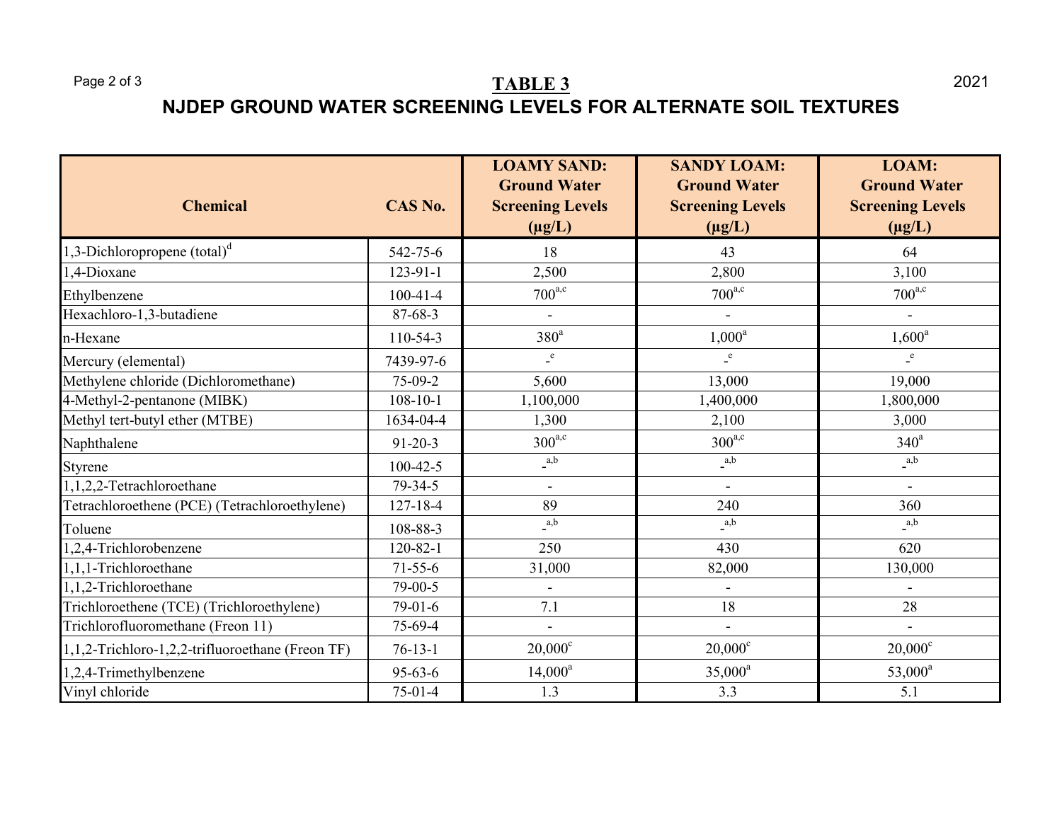# Page 2 of 3 **TABLE 3 NJDEP GROUND WATER SCREENING LEVELS FOR ALTERNATE SOIL TEXTURES**

| <b>Chemical</b>                                  | CAS No.        | <b>LOAMY SAND:</b><br><b>Ground Water</b><br><b>Screening Levels</b><br>$(\mu g/L)$ | <b>SANDY LOAM:</b><br><b>Ground Water</b><br><b>Screening Levels</b><br>$(\mu g/L)$ | LOAM:<br><b>Ground Water</b><br><b>Screening Levels</b><br>$(\mu g/L)$ |
|--------------------------------------------------|----------------|-------------------------------------------------------------------------------------|-------------------------------------------------------------------------------------|------------------------------------------------------------------------|
| 1,3-Dichloropropene $(total)^d$                  | 542-75-6       | 18                                                                                  | 43                                                                                  | 64                                                                     |
| 1,4-Dioxane                                      | 123-91-1       | 2,500                                                                               | 2,800                                                                               | 3,100                                                                  |
| Ethylbenzene                                     | $100 - 41 - 4$ | $700^{\text{a,c}}$                                                                  | $700^{\text{a,c}}$                                                                  | $700^{\text{a,c}}$                                                     |
| Hexachloro-1,3-butadiene                         | 87-68-3        |                                                                                     |                                                                                     |                                                                        |
| n-Hexane                                         | 110-54-3       | 380 <sup>a</sup>                                                                    | $1,000^a$                                                                           | $1,600^a$                                                              |
| Mercury (elemental)                              | 7439-97-6      | $\mathbf{e}$                                                                        | $\mathbf{e}$                                                                        | $\mathbf{e}$                                                           |
| Methylene chloride (Dichloromethane)             | 75-09-2        | 5,600                                                                               | 13,000                                                                              | 19,000                                                                 |
| 4-Methyl-2-pentanone (MIBK)                      | $108 - 10 - 1$ | 1,100,000                                                                           | 1,400,000                                                                           | 1,800,000                                                              |
| Methyl tert-butyl ether (MTBE)                   | 1634-04-4      | 1,300                                                                               | 2,100                                                                               | 3,000                                                                  |
| Naphthalene                                      | $91 - 20 - 3$  | $300^{\text{a,c}}$                                                                  | $300^{a,c}$                                                                         | $340^a$                                                                |
| Styrene                                          | $100 - 42 - 5$ | $\_a,b$                                                                             | $\_a,b$                                                                             | a,b                                                                    |
| 1,1,2,2-Tetrachloroethane                        | 79-34-5        | $\blacksquare$                                                                      | $\blacksquare$                                                                      | $\overline{a}$                                                         |
| Tetrachloroethene (PCE) (Tetrachloroethylene)    | 127-18-4       | 89                                                                                  | 240                                                                                 | 360                                                                    |
| Toluene                                          | 108-88-3       | a,b                                                                                 | $_{a,b}$                                                                            | a,b                                                                    |
| 1,2,4-Trichlorobenzene                           | $120 - 82 - 1$ | 250                                                                                 | 430                                                                                 | 620                                                                    |
| 1,1,1-Trichloroethane                            | $71 - 55 - 6$  | 31,000                                                                              | 82,000                                                                              | 130,000                                                                |
| 1,1,2-Trichloroethane                            | 79-00-5        |                                                                                     |                                                                                     |                                                                        |
| Trichloroethene (TCE) (Trichloroethylene)        | $79-01-6$      | 7.1                                                                                 | 18                                                                                  | 28                                                                     |
| Trichlorofluoromethane (Freon 11)                | 75-69-4        | $\blacksquare$                                                                      | $\blacksquare$                                                                      |                                                                        |
| 1,1,2-Trichloro-1,2,2-trifluoroethane (Freon TF) | $76-13-1$      | $20,000^{\circ}$                                                                    | $20,000^{\circ}$                                                                    | $20,000^{\circ}$                                                       |
| 1,2,4-Trimethylbenzene                           | $95 - 63 - 6$  | $14,000^a$                                                                          | $35,000^a$                                                                          | $53,000^a$                                                             |
| Vinyl chloride                                   | $75-01-4$      | 1.3                                                                                 | 3.3                                                                                 | 5.1                                                                    |

2021